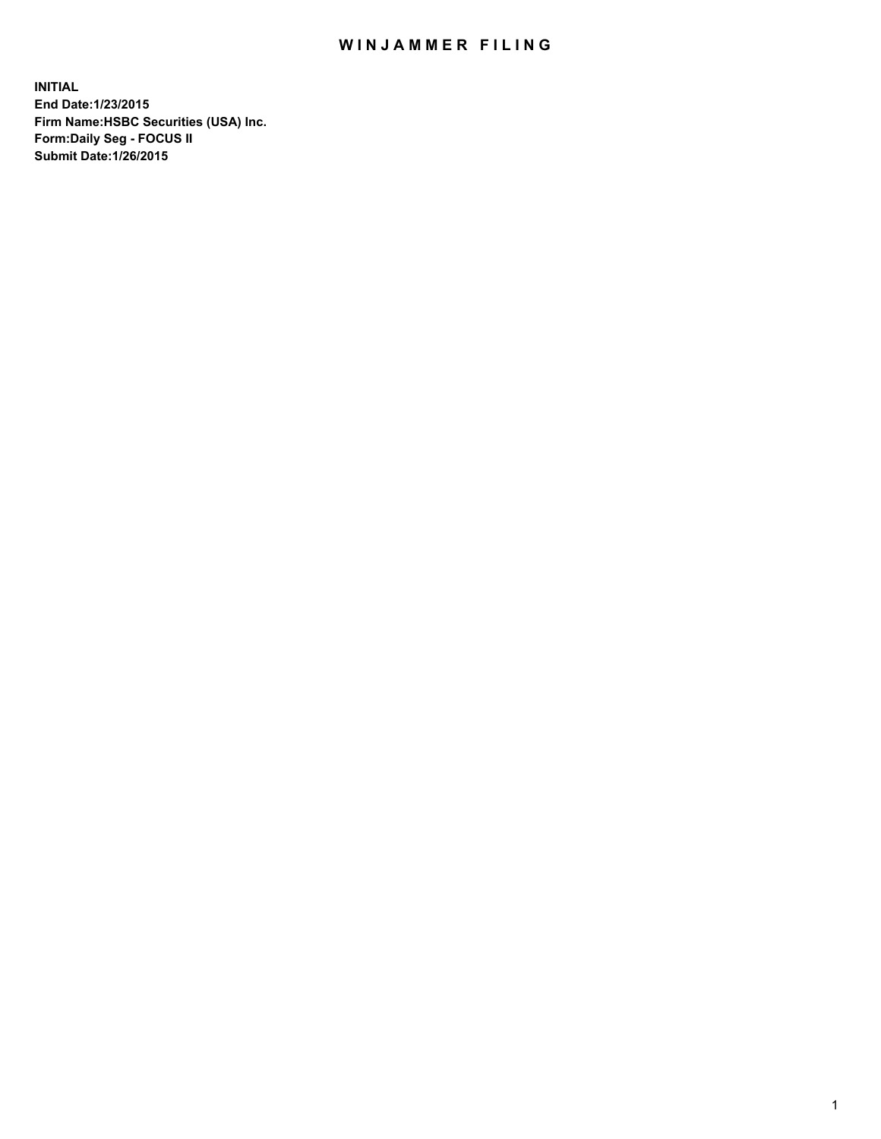## WIN JAMMER FILING

**INITIAL End Date:1/23/2015 Firm Name:HSBC Securities (USA) Inc. Form:Daily Seg - FOCUS II Submit Date:1/26/2015**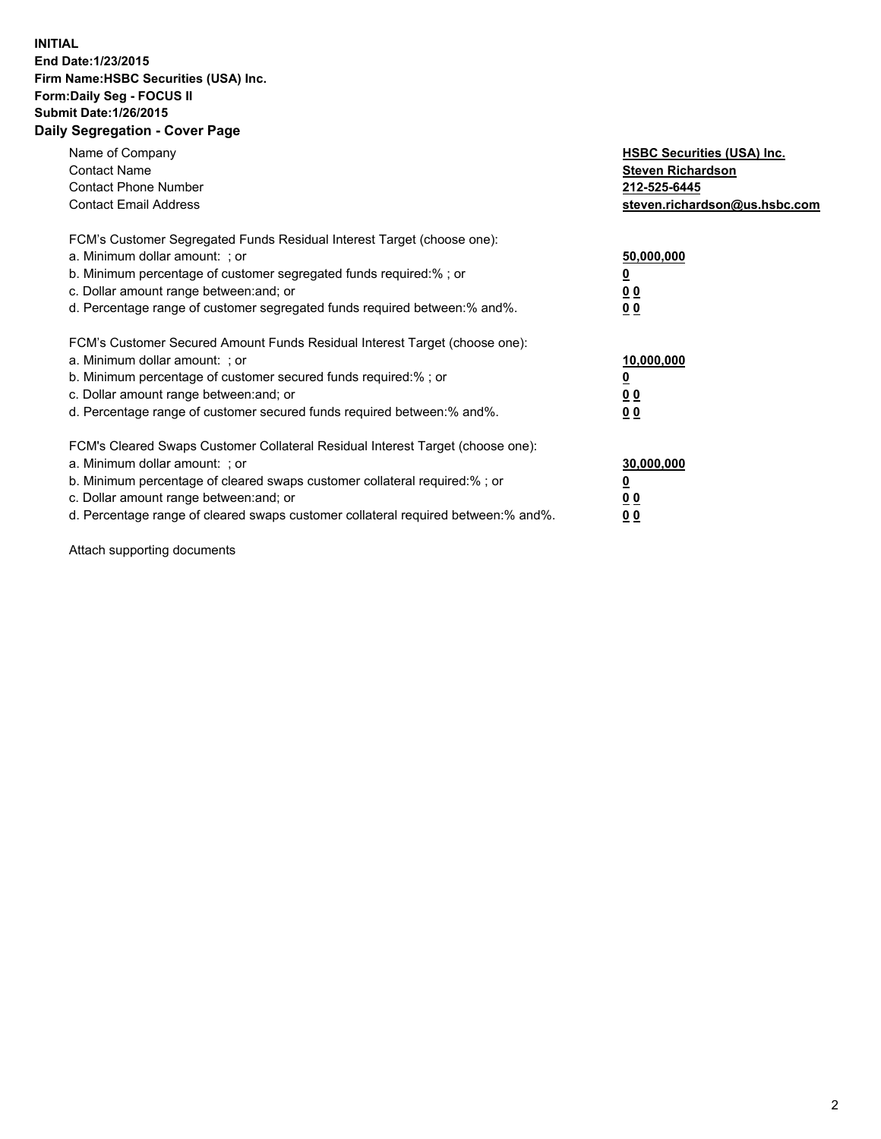## **INITIAL End Date:1/23/2015 Firm Name:HSBC Securities (USA) Inc. Form:Daily Seg - FOCUS II Submit Date:1/26/2015 Daily Segregation - Cover Page**

| Name of Company<br><b>Contact Name</b><br><b>Contact Phone Number</b><br><b>Contact Email Address</b>                                                                                                                                                                                                                          | <b>HSBC Securities (USA) Inc.</b><br><b>Steven Richardson</b><br>212-525-6445<br>steven.richardson@us.hsbc.com |
|--------------------------------------------------------------------------------------------------------------------------------------------------------------------------------------------------------------------------------------------------------------------------------------------------------------------------------|----------------------------------------------------------------------------------------------------------------|
| FCM's Customer Segregated Funds Residual Interest Target (choose one):<br>a. Minimum dollar amount: ; or<br>b. Minimum percentage of customer segregated funds required:%; or<br>c. Dollar amount range between: and; or<br>d. Percentage range of customer segregated funds required between: % and %.                        | 50,000,000<br>0 <sub>0</sub><br>0 <sub>0</sub>                                                                 |
| FCM's Customer Secured Amount Funds Residual Interest Target (choose one):<br>a. Minimum dollar amount: ; or<br>b. Minimum percentage of customer secured funds required:%; or<br>c. Dollar amount range between: and; or<br>d. Percentage range of customer secured funds required between:% and%.                            | 10,000,000<br><u>0</u><br>0 <sub>0</sub><br>0 <sub>0</sub>                                                     |
| FCM's Cleared Swaps Customer Collateral Residual Interest Target (choose one):<br>a. Minimum dollar amount: ; or<br>b. Minimum percentage of cleared swaps customer collateral required:% ; or<br>c. Dollar amount range between: and; or<br>d. Percentage range of cleared swaps customer collateral required between:% and%. | 30,000,000<br>00<br><u>00</u>                                                                                  |

Attach supporting documents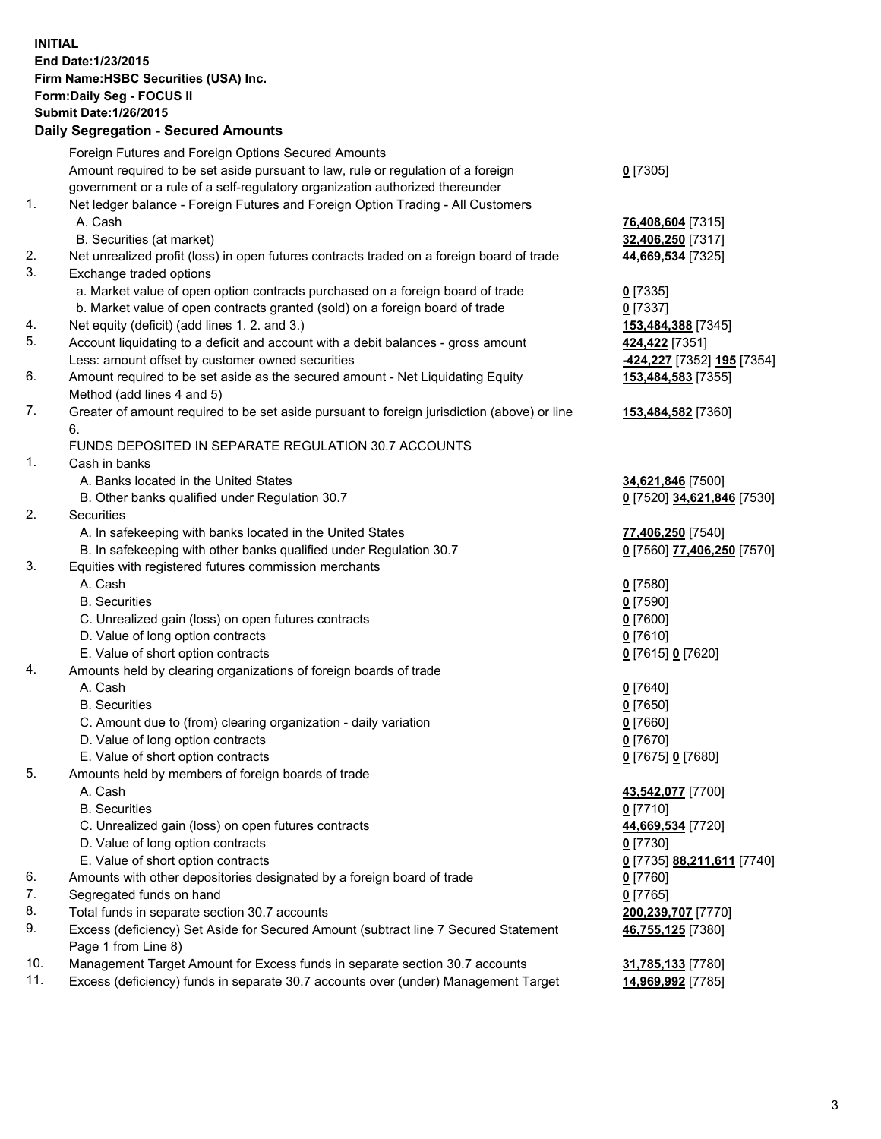**INITIAL End Date:1/23/2015 Firm Name:HSBC Securities (USA) Inc. Form:Daily Seg - FOCUS II Submit Date:1/26/2015 Daily Segregation - Secured Amounts**

Foreign Futures and Foreign Options Secured Amounts Amount required to be set aside pursuant to law, rule or regulation of a foreign government or a rule of a self-regulatory organization authorized thereunder **0** [7305] 1. Net ledger balance - Foreign Futures and Foreign Option Trading - All Customers A. Cash **76,408,604** [7315] B. Securities (at market) **32,406,250** [7317] 2. Net unrealized profit (loss) in open futures contracts traded on a foreign board of trade **44,669,534** [7325] 3. Exchange traded options a. Market value of open option contracts purchased on a foreign board of trade **0** [7335] b. Market value of open contracts granted (sold) on a foreign board of trade **0** [7337] 4. Net equity (deficit) (add lines 1. 2. and 3.) **153,484,388** [7345] 5. Account liquidating to a deficit and account with a debit balances - gross amount **424,422** [7351] Less: amount offset by customer owned securities **-424,227** [7352] **195** [7354] 6. Amount required to be set aside as the secured amount - Net Liquidating Equity Method (add lines 4 and 5) **153,484,583** [7355] 7. Greater of amount required to be set aside pursuant to foreign jurisdiction (above) or line 6. **153,484,582** [7360] FUNDS DEPOSITED IN SEPARATE REGULATION 30.7 ACCOUNTS 1. Cash in banks A. Banks located in the United States **34,621,846** [7500] B. Other banks qualified under Regulation 30.7 **0** [7520] **34,621,846** [7530] 2. Securities A. In safekeeping with banks located in the United States **77,406,250** [7540] B. In safekeeping with other banks qualified under Regulation 30.7 **0** [7560] **77,406,250** [7570] 3. Equities with registered futures commission merchants A. Cash **0** [7580] B. Securities **0** [7590] C. Unrealized gain (loss) on open futures contracts **0** [7600] D. Value of long option contracts **0** [7610] E. Value of short option contracts **0** [7615] **0** [7620] 4. Amounts held by clearing organizations of foreign boards of trade A. Cash **0** [7640] B. Securities **0** [7650] C. Amount due to (from) clearing organization - daily variation **0** [7660] D. Value of long option contracts **0** [7670] E. Value of short option contracts **0** [7675] **0** [7680] 5. Amounts held by members of foreign boards of trade A. Cash **43,542,077** [7700] B. Securities **0** [7710] C. Unrealized gain (loss) on open futures contracts **44,669,534** [7720] D. Value of long option contracts **0** [7730] E. Value of short option contracts **0** [7735] **88,211,611** [7740] 6. Amounts with other depositories designated by a foreign board of trade **0** [7760] 7. Segregated funds on hand **0** [7765] 8. Total funds in separate section 30.7 accounts **200,239,707** [7770] 9. Excess (deficiency) Set Aside for Secured Amount (subtract line 7 Secured Statement Page 1 from Line 8) **46,755,125** [7380] 10. Management Target Amount for Excess funds in separate section 30.7 accounts **31,785,133** [7780] 11. Excess (deficiency) funds in separate 30.7 accounts over (under) Management Target **14,969,992** [7785]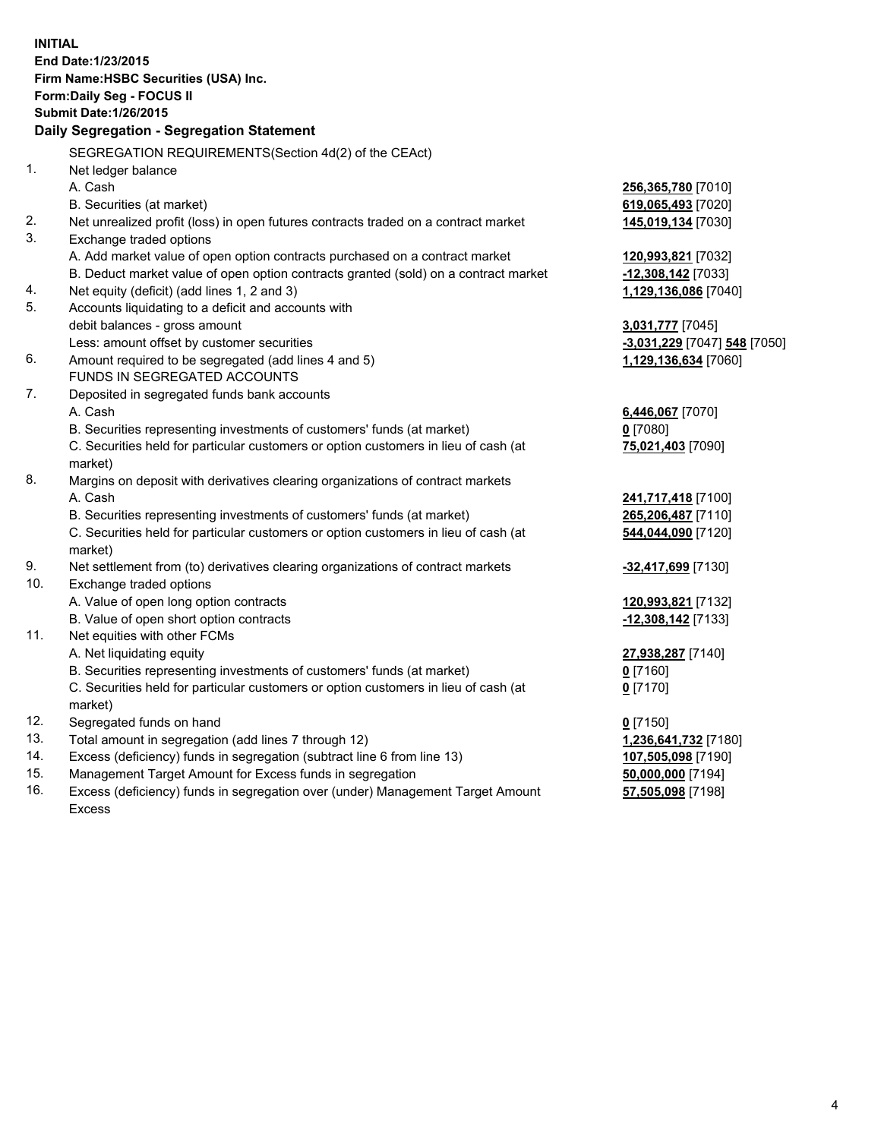| <b>INITIAL</b>                            | End Date: 1/23/2015<br>Firm Name: HSBC Securities (USA) Inc.<br>Form: Daily Seg - FOCUS II                    |                              |  |  |  |
|-------------------------------------------|---------------------------------------------------------------------------------------------------------------|------------------------------|--|--|--|
|                                           | <b>Submit Date: 1/26/2015</b>                                                                                 |                              |  |  |  |
| Daily Segregation - Segregation Statement |                                                                                                               |                              |  |  |  |
|                                           |                                                                                                               |                              |  |  |  |
|                                           | SEGREGATION REQUIREMENTS(Section 4d(2) of the CEAct)                                                          |                              |  |  |  |
| 1.                                        | Net ledger balance                                                                                            |                              |  |  |  |
|                                           | A. Cash                                                                                                       | 256,365,780 [7010]           |  |  |  |
|                                           | B. Securities (at market)                                                                                     | 619,065,493 [7020]           |  |  |  |
| 2.<br>3.                                  | Net unrealized profit (loss) in open futures contracts traded on a contract market<br>Exchange traded options | 145,019,134 [7030]           |  |  |  |
|                                           | A. Add market value of open option contracts purchased on a contract market                                   | 120,993,821 [7032]           |  |  |  |
|                                           | B. Deduct market value of open option contracts granted (sold) on a contract market                           | $-12,308,142$ [7033]         |  |  |  |
| 4.                                        | Net equity (deficit) (add lines 1, 2 and 3)                                                                   | 1,129,136,086 [7040]         |  |  |  |
| 5.                                        | Accounts liquidating to a deficit and accounts with                                                           |                              |  |  |  |
|                                           | debit balances - gross amount                                                                                 | 3,031,777 [7045]             |  |  |  |
|                                           | Less: amount offset by customer securities                                                                    | -3,031,229 [7047] 548 [7050] |  |  |  |
| 6.                                        | Amount required to be segregated (add lines 4 and 5)                                                          | 1,129,136,634 [7060]         |  |  |  |
|                                           | FUNDS IN SEGREGATED ACCOUNTS                                                                                  |                              |  |  |  |
| 7.                                        | Deposited in segregated funds bank accounts                                                                   |                              |  |  |  |
|                                           | A. Cash                                                                                                       | 6,446,067 [7070]             |  |  |  |
|                                           | B. Securities representing investments of customers' funds (at market)                                        | $0$ [7080]                   |  |  |  |
|                                           | C. Securities held for particular customers or option customers in lieu of cash (at<br>market)                | 75,021,403 [7090]            |  |  |  |
| 8.                                        | Margins on deposit with derivatives clearing organizations of contract markets                                |                              |  |  |  |
|                                           | A. Cash                                                                                                       | 241,717,418 [7100]           |  |  |  |
|                                           | B. Securities representing investments of customers' funds (at market)                                        | 265,206,487 [7110]           |  |  |  |
|                                           | C. Securities held for particular customers or option customers in lieu of cash (at<br>market)                | 544,044,090 [7120]           |  |  |  |
| 9.                                        | Net settlement from (to) derivatives clearing organizations of contract markets                               | -32,417,699 [7130]           |  |  |  |
| 10.                                       | Exchange traded options                                                                                       |                              |  |  |  |
|                                           | A. Value of open long option contracts                                                                        | 120,993,821 [7132]           |  |  |  |
|                                           | B. Value of open short option contracts                                                                       | -12,308,142 [7133]           |  |  |  |
| 11.                                       | Net equities with other FCMs                                                                                  |                              |  |  |  |
|                                           | A. Net liquidating equity                                                                                     | 27,938,287 [7140]            |  |  |  |
|                                           | B. Securities representing investments of customers' funds (at market)                                        | $0$ [7160]                   |  |  |  |
|                                           | C. Securities held for particular customers or option customers in lieu of cash (at<br>market)                | $0$ [7170]                   |  |  |  |
| 12.                                       | Segregated funds on hand                                                                                      | $0$ [7150]                   |  |  |  |
| 13.                                       | Total amount in segregation (add lines 7 through 12)                                                          | 1,236,641,732 [7180]         |  |  |  |
| 14.                                       | Excess (deficiency) funds in segregation (subtract line 6 from line 13)                                       | 107,505,098 [7190]           |  |  |  |
| 15.                                       | Management Target Amount for Excess funds in segregation                                                      | 50,000,000 [7194]            |  |  |  |
| 16.                                       | Excess (deficiency) funds in segregation over (under) Management Target Amount                                | 57,505,098 [7198]            |  |  |  |

Excess